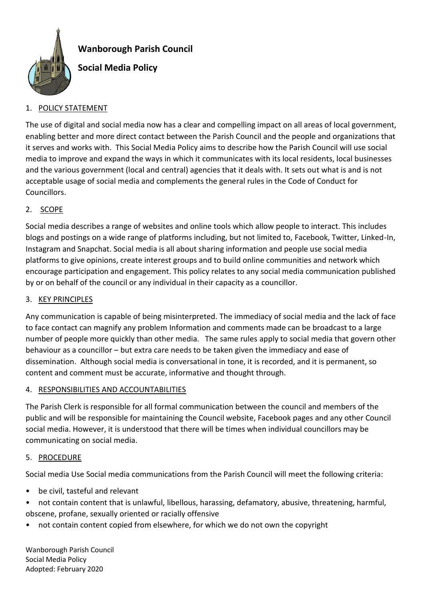

## **Wanborough Parish Council**

# **Social Media Policy**

## 1. POLICY STATEMENT

The use of digital and social media now has a clear and compelling impact on all areas of local government, enabling better and more direct contact between the Parish Council and the people and organizations that it serves and works with. This Social Media Policy aims to describe how the Parish Council will use social media to improve and expand the ways in which it communicates with its local residents, local businesses and the various government (local and central) agencies that it deals with. It sets out what is and is not acceptable usage of social media and complements the general rules in the Code of Conduct for Councillors.

### 2. SCOPE

Social media describes a range of websites and online tools which allow people to interact. This includes blogs and postings on a wide range of platforms including, but not limited to, Facebook, Twitter, Linked-In, Instagram and Snapchat. Social media is all about sharing information and people use social media platforms to give opinions, create interest groups and to build online communities and network which encourage participation and engagement. This policy relates to any social media communication published by or on behalf of the council or any individual in their capacity as a councillor.

#### 3. KEY PRINCIPLES

Any communication is capable of being misinterpreted. The immediacy of social media and the lack of face to face contact can magnify any problem Information and comments made can be broadcast to a large number of people more quickly than other media. The same rules apply to social media that govern other behaviour as a councillor – but extra care needs to be taken given the immediacy and ease of dissemination. Although social media is conversational in tone, it is recorded, and it is permanent, so content and comment must be accurate, informative and thought through.

#### 4. RESPONSIBILITIES AND ACCOUNTABILITIES

The Parish Clerk is responsible for all formal communication between the council and members of the public and will be responsible for maintaining the Council website, Facebook pages and any other Council social media. However, it is understood that there will be times when individual councillors may be communicating on social media.

#### 5. PROCEDURE

Social media Use Social media communications from the Parish Council will meet the following criteria:

- be civil, tasteful and relevant
- not contain content that is unlawful, libellous, harassing, defamatory, abusive, threatening, harmful, obscene, profane, sexually oriented or racially offensive
- not contain content copied from elsewhere, for which we do not own the copyright

Wanborough Parish Council Social Media Policy Adopted: February 2020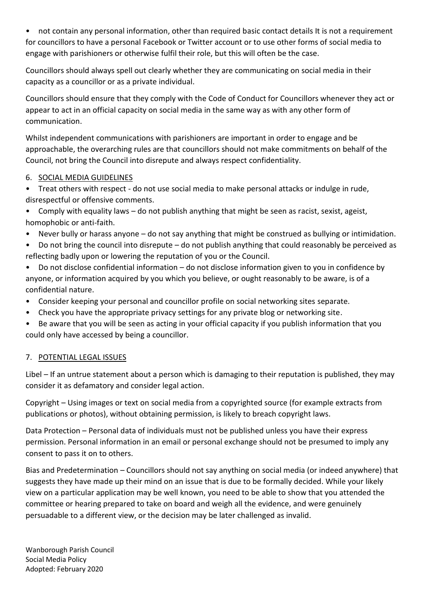• not contain any personal information, other than required basic contact details It is not a requirement for councillors to have a personal Facebook or Twitter account or to use other forms of social media to engage with parishioners or otherwise fulfil their role, but this will often be the case.

Councillors should always spell out clearly whether they are communicating on social media in their capacity as a councillor or as a private individual.

Councillors should ensure that they comply with the Code of Conduct for Councillors whenever they act or appear to act in an official capacity on social media in the same way as with any other form of communication.

Whilst independent communications with parishioners are important in order to engage and be approachable, the overarching rules are that councillors should not make commitments on behalf of the Council, not bring the Council into disrepute and always respect confidentiality.

## 6. SOCIAL MEDIA GUIDELINES

- Treat others with respect do not use social media to make personal attacks or indulge in rude, disrespectful or offensive comments.
- Comply with equality laws do not publish anything that might be seen as racist, sexist, ageist, homophobic or anti-faith.
- Never bully or harass anyone do not say anything that might be construed as bullying or intimidation.
- Do not bring the council into disrepute do not publish anything that could reasonably be perceived as reflecting badly upon or lowering the reputation of you or the Council.
- Do not disclose confidential information do not disclose information given to you in confidence by anyone, or information acquired by you which you believe, or ought reasonably to be aware, is of a confidential nature.
- Consider keeping your personal and councillor profile on social networking sites separate.
- Check you have the appropriate privacy settings for any private blog or networking site.
- Be aware that you will be seen as acting in your official capacity if you publish information that you could only have accessed by being a councillor.

## 7. POTENTIAL LEGAL ISSUES

Libel – If an untrue statement about a person which is damaging to their reputation is published, they may consider it as defamatory and consider legal action.

Copyright – Using images or text on social media from a copyrighted source (for example extracts from publications or photos), without obtaining permission, is likely to breach copyright laws.

Data Protection – Personal data of individuals must not be published unless you have their express permission. Personal information in an email or personal exchange should not be presumed to imply any consent to pass it on to others.

Bias and Predetermination – Councillors should not say anything on social media (or indeed anywhere) that suggests they have made up their mind on an issue that is due to be formally decided. While your likely view on a particular application may be well known, you need to be able to show that you attended the committee or hearing prepared to take on board and weigh all the evidence, and were genuinely persuadable to a different view, or the decision may be later challenged as invalid.